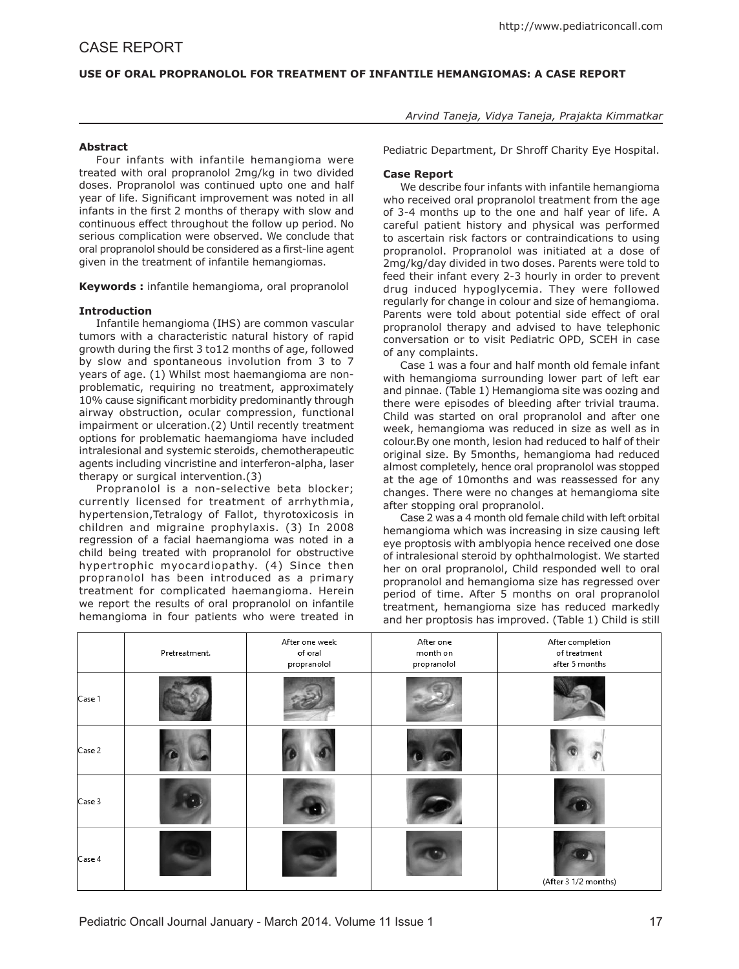# **USE OF ORAL PROPRANOLOL FOR TREATMENT OF INFANTILE HEMANGIOMAS: A CASE REPORT**

## **Abstract**

Four infants with infantile hemangioma were treated with oral propranolol 2mg/kg in two divided doses. Propranolol was continued upto one and half year of life. Significant improvement was noted in all infants in the first 2 months of therapy with slow and continuous effect throughout the follow up period. No serious complication were observed. We conclude that oral propranolol should be considered as a first-line agent given in the treatment of infantile hemangiomas.

**Keywords :** infantile hemangioma, oral propranolol

## **Introduction**

Infantile hemangioma (IHS) are common vascular tumors with a characteristic natural history of rapid growth during the first 3 to12 months of age, followed by slow and spontaneous involution from 3 to 7 years of age. (1) Whilst most haemangioma are nonproblematic, requiring no treatment, approximately 10% cause significant morbidity predominantly through airway obstruction, ocular compression, functional impairment or ulceration.(2) Until recently treatment options for problematic haemangioma have included intralesional and systemic steroids, chemotherapeutic agents including vincristine and interferon-alpha, laser therapy or surgical intervention.(3)

Propranolol is a non-selective beta blocker; currently licensed for treatment of arrhythmia, hypertension,Tetralogy of Fallot, thyrotoxicosis in children and migraine prophylaxis. (3) In 2008 regression of a facial haemangioma was noted in a child being treated with propranolol for obstructive hypertrophic myocardiopathy. (4) Since then propranolol has been introduced as a primary treatment for complicated haemangioma. Herein we report the results of oral propranolol on infantile hemangioma in four patients who were treated in

*Arvind Taneja, Vidya Taneja, Prajakta Kimmatkar*

Pediatric Department, Dr Shroff Charity Eye Hospital.

### **Case Report**

We describe four infants with infantile hemangioma who received oral propranolol treatment from the age of 3-4 months up to the one and half year of life. A careful patient history and physical was performed to ascertain risk factors or contraindications to using propranolol. Propranolol was initiated at a dose of 2mg/kg/day divided in two doses. Parents were told to feed their infant every 2-3 hourly in order to prevent drug induced hypoglycemia. They were followed regularly for change in colour and size of hemangioma. Parents were told about potential side effect of oral propranolol therapy and advised to have telephonic conversation or to visit Pediatric OPD, SCEH in case of any complaints.

Case 1 was a four and half month old female infant with hemangioma surrounding lower part of left ear and pinnae. (Table 1) Hemangioma site was oozing and there were episodes of bleeding after trivial trauma. Child was started on oral propranolol and after one week, hemangioma was reduced in size as well as in colour.By one month, lesion had reduced to half of their original size. By 5months, hemangioma had reduced almost completely, hence oral propranolol was stopped at the age of 10months and was reassessed for any changes. There were no changes at hemangioma site after stopping oral propranolol.

Case 2 was a 4 month old female child with left orbital hemangioma which was increasing in size causing left eye proptosis with amblyopia hence received one dose of intralesional steroid by ophthalmologist. We started her on oral propranolol, Child responded well to oral propranolol and hemangioma size has regressed over period of time. After 5 months on oral propranolol treatment, hemangioma size has reduced markedly and her proptosis has improved. (Table 1) Child is still

|        | Pretreatment. | After one week<br>of oral<br>propranolol | After one<br>month on<br>propranolol | After completion<br>of treatment<br>after 5 months |
|--------|---------------|------------------------------------------|--------------------------------------|----------------------------------------------------|
| Case 1 |               |                                          |                                      |                                                    |
| Case 2 |               |                                          |                                      |                                                    |
| Case 3 |               |                                          |                                      |                                                    |
| Case 4 |               |                                          |                                      | (After 3 1/2 months)                               |